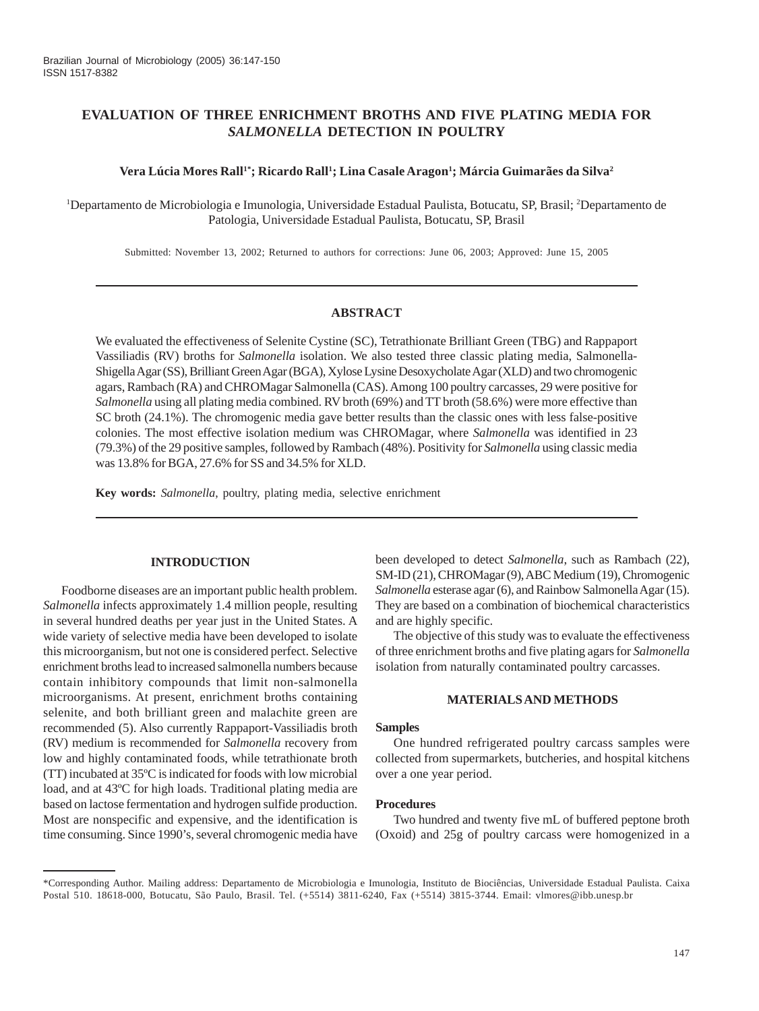# **EVALUATION OF THREE ENRICHMENT BROTHS AND FIVE PLATING MEDIA FOR** *SALMONELLA* **DETECTION IN POULTRY**

### Vera Lúcia Mores Rall<sup>1</sup>'; Ricardo Rall<sup>1</sup>; Lina Casale Aragon<sup>1</sup>; Márcia Guimarães da Silva<sup>2</sup>

<sup>1</sup>Departamento de Microbiologia e Imunologia, Universidade Estadual Paulista, Botucatu, SP, Brasil; <sup>2</sup>Departamento de Patologia, Universidade Estadual Paulista, Botucatu, SP, Brasil

Submitted: November 13, 2002; Returned to authors for corrections: June 06, 2003; Approved: June 15, 2005

## **ABSTRACT**

We evaluated the effectiveness of Selenite Cystine (SC), Tetrathionate Brilliant Green (TBG) and Rappaport Vassiliadis (RV) broths for *Salmonella* isolation. We also tested three classic plating media, Salmonella-Shigella Agar (SS), Brilliant Green Agar (BGA), Xylose Lysine Desoxycholate Agar (XLD) and two chromogenic agars, Rambach (RA) and CHROMagar Salmonella (CAS). Among 100 poultry carcasses, 29 were positive for *Salmonella* using all plating media combined. RV broth (69%) and TT broth (58.6%) were more effective than SC broth (24.1%). The chromogenic media gave better results than the classic ones with less false-positive colonies. The most effective isolation medium was CHROMagar, where *Salmonella* was identified in 23 (79.3%) of the 29 positive samples, followed by Rambach (48%). Positivity for *Salmonella* using classic media was 13.8% for BGA, 27.6% for SS and 34.5% for XLD.

**Key words:** *Salmonella*, poultry, plating media, selective enrichment

## **INTRODUCTION**

Foodborne diseases are an important public health problem. *Salmonella* infects approximately 1.4 million people, resulting in several hundred deaths per year just in the United States. A wide variety of selective media have been developed to isolate this microorganism, but not one is considered perfect. Selective enrichment broths lead to increased salmonella numbers because contain inhibitory compounds that limit non-salmonella microorganisms. At present, enrichment broths containing selenite, and both brilliant green and malachite green are recommended (5). Also currently Rappaport-Vassiliadis broth (RV) medium is recommended for *Salmonella* recovery from low and highly contaminated foods, while tetrathionate broth (TT) incubated at 35ºC is indicated for foods with low microbial load, and at 43ºC for high loads. Traditional plating media are based on lactose fermentation and hydrogen sulfide production. Most are nonspecific and expensive, and the identification is time consuming. Since 1990's, several chromogenic media have been developed to detect *Salmonella*, such as Rambach (22), SM-ID (21), CHROMagar (9), ABC Medium (19), Chromogenic *Salmonella* esterase agar (6), and Rainbow Salmonella Agar (15). They are based on a combination of biochemical characteristics and are highly specific.

The objective of this study was to evaluate the effectiveness of three enrichment broths and five plating agars for *Salmonella* isolation from naturally contaminated poultry carcasses.

## **MATERIALS AND METHODS**

#### **Samples**

One hundred refrigerated poultry carcass samples were collected from supermarkets, butcheries, and hospital kitchens over a one year period.

### **Procedures**

Two hundred and twenty five mL of buffered peptone broth (Oxoid) and 25g of poultry carcass were homogenized in a

<sup>\*</sup>Corresponding Author. Mailing address: Departamento de Microbiologia e Imunologia, Instituto de Biociências, Universidade Estadual Paulista. Caixa Postal 510. 18618-000, Botucatu, São Paulo, Brasil. Tel. (+5514) 3811-6240, Fax (+5514) 3815-3744. Email: vlmores@ibb.unesp.br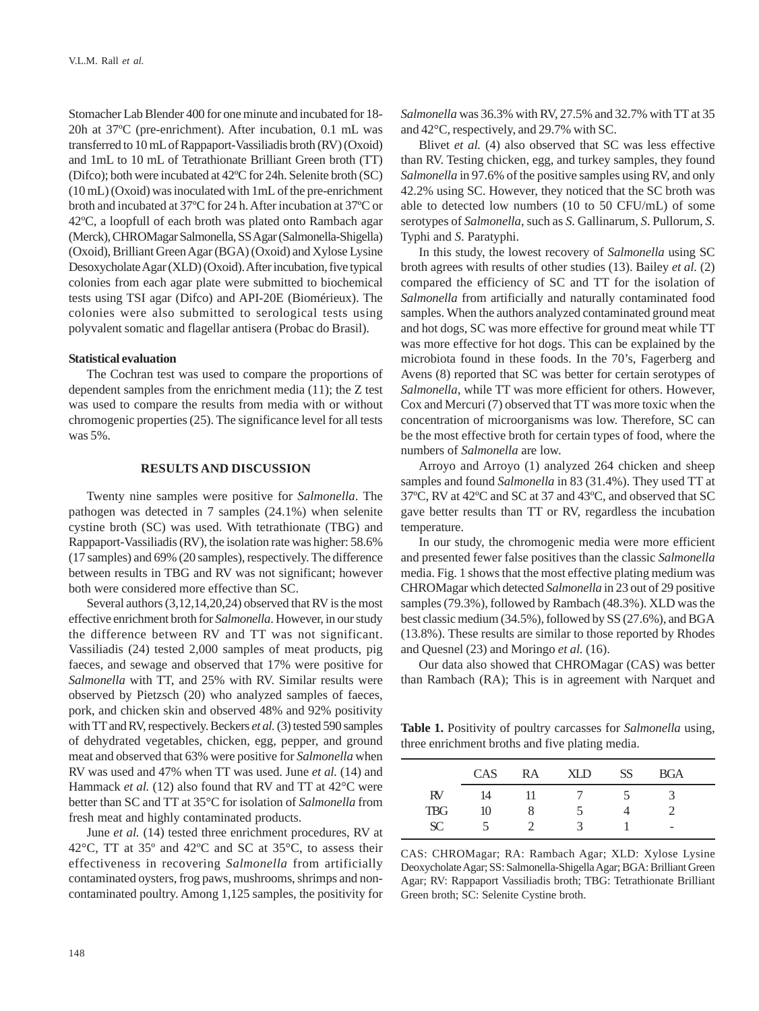Stomacher Lab Blender 400 for one minute and incubated for 18- 20h at 37ºC (pre-enrichment). After incubation, 0.1 mL was transferred to 10 mL of Rappaport-Vassiliadis broth (RV) (Oxoid) and 1mL to 10 mL of Tetrathionate Brilliant Green broth (TT) (Difco); both were incubated at 42ºC for 24h. Selenite broth (SC) (10 mL) (Oxoid) was inoculated with 1mL of the pre-enrichment broth and incubated at 37ºC for 24 h. After incubation at 37ºC or 42ºC, a loopfull of each broth was plated onto Rambach agar (Merck), CHROMagar Salmonella, SS Agar (Salmonella-Shigella) (Oxoid), Brilliant Green Agar (BGA) (Oxoid) and Xylose Lysine Desoxycholate Agar (XLD) (Oxoid). After incubation, five typical colonies from each agar plate were submitted to biochemical tests using TSI agar (Difco) and API-20E (Biomérieux). The colonies were also submitted to serological tests using polyvalent somatic and flagellar antisera (Probac do Brasil).

## **Statistical evaluation**

The Cochran test was used to compare the proportions of dependent samples from the enrichment media (11); the Z test was used to compare the results from media with or without chromogenic properties (25). The significance level for all tests was 5%.

#### **RESULTS AND DISCUSSION**

Twenty nine samples were positive for *Salmonella*. The pathogen was detected in 7 samples (24.1%) when selenite cystine broth (SC) was used. With tetrathionate (TBG) and Rappaport-Vassiliadis (RV), the isolation rate was higher: 58.6% (17 samples) and 69% (20 samples), respectively. The difference between results in TBG and RV was not significant; however both were considered more effective than SC.

Several authors (3,12,14,20,24) observed that RV is the most effective enrichment broth for *Salmonella*. However, in our study the difference between RV and TT was not significant. Vassiliadis (24) tested 2,000 samples of meat products, pig faeces, and sewage and observed that 17% were positive for *Salmonella* with TT, and 25% with RV. Similar results were observed by Pietzsch (20) who analyzed samples of faeces, pork, and chicken skin and observed 48% and 92% positivity with TT and RV, respectively. Beckers *et al.* (3) tested 590 samples of dehydrated vegetables, chicken, egg, pepper, and ground meat and observed that 63% were positive for *Salmonella* when RV was used and 47% when TT was used. June *et al.* (14) and Hammack *et al.* (12) also found that RV and TT at 42°C were better than SC and TT at 35°C for isolation of *Salmonella* from fresh meat and highly contaminated products.

June *et al.* (14) tested three enrichment procedures, RV at 42°C, TT at 35º and 42ºC and SC at 35°C, to assess their effectiveness in recovering *Salmonella* from artificially contaminated oysters, frog paws, mushrooms, shrimps and noncontaminated poultry. Among 1,125 samples, the positivity for *Salmonella* was 36.3% with RV, 27.5% and 32.7% with TT at 35 and 42°C, respectively, and 29.7% with SC.

Blivet *et al.* (4) also observed that SC was less effective than RV. Testing chicken, egg, and turkey samples, they found *Salmonella* in 97.6% of the positive samples using RV, and only 42.2% using SC. However, they noticed that the SC broth was able to detected low numbers (10 to 50 CFU/mL) of some serotypes of *Salmonella*, such as *S*. Gallinarum, *S*. Pullorum, *S*. Typhi and *S*. Paratyphi.

In this study, the lowest recovery of *Salmonella* using SC broth agrees with results of other studies (13). Bailey *et al.* (2) compared the efficiency of SC and TT for the isolation of *Salmonella* from artificially and naturally contaminated food samples. When the authors analyzed contaminated ground meat and hot dogs, SC was more effective for ground meat while TT was more effective for hot dogs. This can be explained by the microbiota found in these foods. In the 70's, Fagerberg and Avens (8) reported that SC was better for certain serotypes of *Salmonella*, while TT was more efficient for others. However, Cox and Mercuri (7) observed that TT was more toxic when the concentration of microorganisms was low. Therefore, SC can be the most effective broth for certain types of food, where the numbers of *Salmonella* are low.

Arroyo and Arroyo (1) analyzed 264 chicken and sheep samples and found *Salmonella* in 83 (31.4%). They used TT at 37ºC, RV at 42ºC and SC at 37 and 43ºC, and observed that SC gave better results than TT or RV, regardless the incubation temperature.

In our study, the chromogenic media were more efficient and presented fewer false positives than the classic *Salmonella* media. Fig. 1 shows that the most effective plating medium was CHROMagar which detected *Salmonella* in 23 out of 29 positive samples (79.3%), followed by Rambach (48.3%). XLD was the best classic medium (34.5%), followed by SS (27.6%), and BGA (13.8%). These results are similar to those reported by Rhodes and Quesnel (23) and Moringo *et al.* (16).

Our data also showed that CHROMagar (CAS) was better than Rambach (RA); This is in agreement with Narquet and

**Table 1.** Positivity of poultry carcasses for *Salmonella* using, three enrichment broths and five plating media.

|            | CAS | RA | XI D | SS <sup>-</sup> | <b>BGA</b>               |  |
|------------|-----|----|------|-----------------|--------------------------|--|
| RV         | 14  |    |      |                 |                          |  |
| <b>TBG</b> | 10  |    | ∍    |                 |                          |  |
| <b>SC</b>  |     |    |      |                 | $\overline{\phantom{a}}$ |  |

CAS: CHROMagar; RA: Rambach Agar; XLD: Xylose Lysine Deoxycholate Agar; SS: Salmonella-Shigella Agar; BGA: Brilliant Green Agar; RV: Rappaport Vassiliadis broth; TBG: Tetrathionate Brilliant Green broth; SC: Selenite Cystine broth.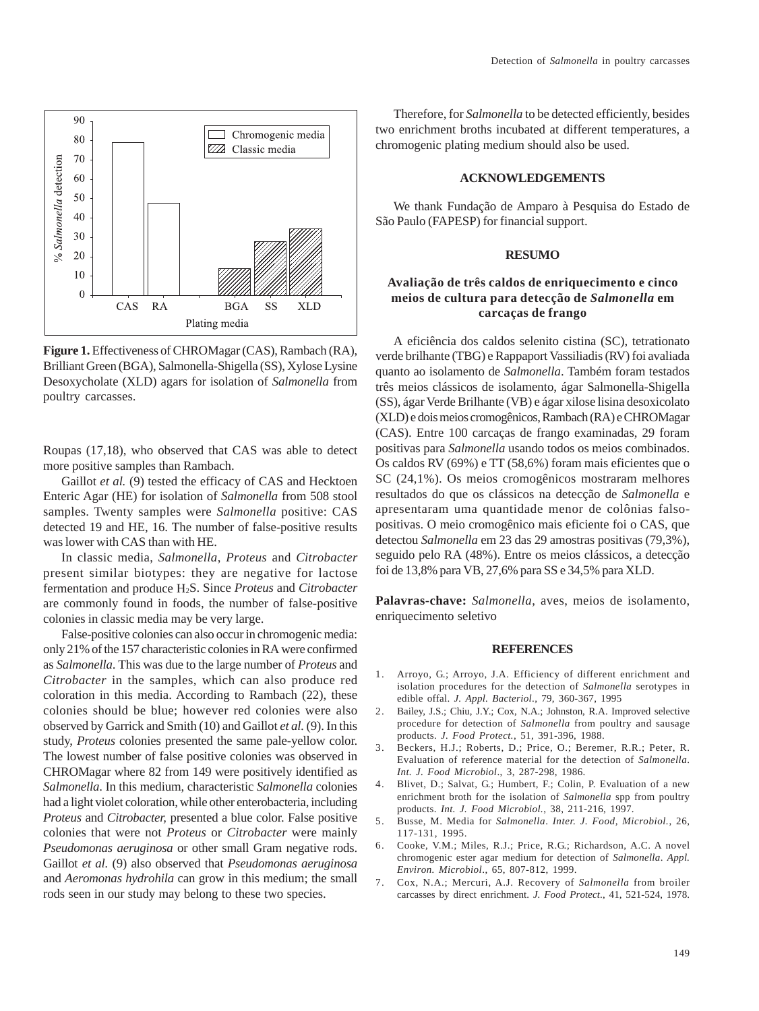

**Figure 1.** Effectiveness of CHROMagar (CAS), Rambach (RA), Brilliant Green (BGA), Salmonella-Shigella (SS), Xylose Lysine Desoxycholate (XLD) agars for isolation of *Salmonella* from poultry carcasses.

Roupas (17,18), who observed that CAS was able to detect more positive samples than Rambach.

Gaillot *et al.* (9) tested the efficacy of CAS and Hecktoen Enteric Agar (HE) for isolation of *Salmonella* from 508 stool samples. Twenty samples were *Salmonella* positive: CAS detected 19 and HE, 16. The number of false-positive results was lower with CAS than with HE.

In classic media, *Salmonella*, *Proteus* and *Citrobacter* present similar biotypes: they are negative for lactose fermentation and produce H2S. Since *Proteus* and *Citrobacter* are commonly found in foods, the number of false-positive colonies in classic media may be very large.

False-positive colonies can also occur in chromogenic media: only 21% of the 157 characteristic colonies in RA were confirmed as *Salmonella*. This was due to the large number of *Proteus* and *Citrobacter* in the samples, which can also produce red coloration in this media. According to Rambach (22), these colonies should be blue; however red colonies were also observed by Garrick and Smith (10) and Gaillot *et al.* (9). In this study, *Proteus* colonies presented the same pale-yellow color. The lowest number of false positive colonies was observed in CHROMagar where 82 from 149 were positively identified as *Salmonella*. In this medium, characteristic *Salmonella* colonies had a light violet coloration, while other enterobacteria, including *Proteus* and *Citrobacter,* presented a blue color. False positive colonies that were not *Proteus* or *Citrobacter* were mainly *Pseudomonas aeruginosa* or other small Gram negative rods. Gaillot *et al.* (9) also observed that *Pseudomonas aeruginosa* and *Aeromonas hydrohila* can grow in this medium; the small rods seen in our study may belong to these two species.

Therefore, for *Salmonella* to be detected efficiently, besides two enrichment broths incubated at different temperatures, a chromogenic plating medium should also be used.

## **ACKNOWLEDGEMENTS**

We thank Fundação de Amparo à Pesquisa do Estado de São Paulo (FAPESP) for financial support.

#### **RESUMO**

# **Avaliação de três caldos de enriquecimento e cinco meios de cultura para detecção de** *Salmonella* **em carcaças de frango**

A eficiência dos caldos selenito cistina (SC), tetrationato verde brilhante (TBG) e Rappaport Vassiliadis (RV) foi avaliada quanto ao isolamento de *Salmonella*. Também foram testados três meios clássicos de isolamento, ágar Salmonella-Shigella (SS), ágar Verde Brilhante (VB) e ágar xilose lisina desoxicolato (XLD) e dois meios cromogênicos, Rambach (RA) e CHROMagar (CAS). Entre 100 carcaças de frango examinadas, 29 foram positivas para *Salmonella* usando todos os meios combinados. Os caldos RV (69%) e TT (58,6%) foram mais eficientes que o SC (24,1%). Os meios cromogênicos mostraram melhores resultados do que os clássicos na detecção de *Salmonella* e apresentaram uma quantidade menor de colônias falsopositivas. O meio cromogênico mais eficiente foi o CAS, que detectou *Salmonella* em 23 das 29 amostras positivas (79,3%), seguido pelo RA (48%). Entre os meios clássicos, a detecção foi de 13,8% para VB, 27,6% para SS e 34,5% para XLD.

**Palavras-chave:** *Salmonella*, aves, meios de isolamento, enriquecimento seletivo

#### **REFERENCES**

- 1. Arroyo, G.; Arroyo, J.A. Efficiency of different enrichment and isolation procedures for the detection of *Salmonella* serotypes in edible offal. *J. Appl. Bacteriol*., 79, 360-367, 1995
- 2. Bailey, J.S.; Chiu, J.Y.; Cox, N.A.; Johnston, R.A. Improved selective procedure for detection of *Salmonella* from poultry and sausage products. *J. Food Protect.*, 51, 391-396, 1988.
- 3. Beckers, H.J.; Roberts, D.; Price, O.; Beremer, R.R.; Peter, R. Evaluation of reference material for the detection of *Salmonella*. *Int. J. Food Microbiol*., 3, 287-298, 1986.
- 4. Blivet, D.; Salvat, G.; Humbert, F.; Colin, P. Evaluation of a new enrichment broth for the isolation of *Salmonella* spp from poultry products. *Int. J. Food Microbiol.*, 38, 211-216, 1997.
- 5. Busse, M. Media for *Salmonella*. *Inter. J. Food, Microbiol.*, 26, 117-131, 1995.
- 6. Cooke, V.M.; Miles, R.J.; Price, R.G.; Richardson, A.C. A novel chromogenic ester agar medium for detection of *Salmonella*. *Appl. Environ. Microbiol*., 65, 807-812, 1999.
- 7. Cox, N.A.; Mercuri, A.J. Recovery of *Salmonella* from broiler carcasses by direct enrichment. *J. Food Protect*., 41, 521-524, 1978.